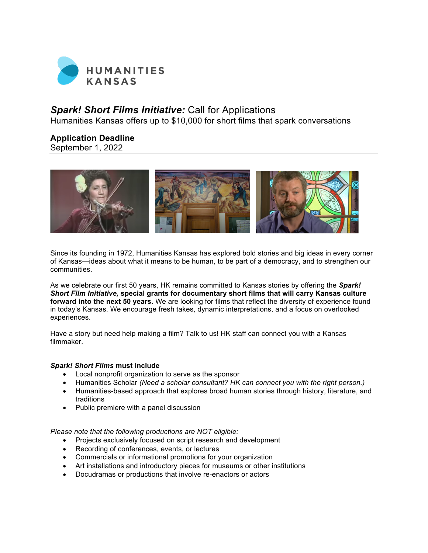

# *Spark! Short Films Initiative:* Call for Applications

Humanities Kansas offers up to \$10,000 for short films that spark conversations

# **Application Deadline**

September 1, 2022



Since its founding in 1972, Humanities Kansas has explored bold stories and big ideas in every corner of Kansas—ideas about what it means to be human, to be part of a democracy, and to strengthen our communities.

As we celebrate our first 50 years, HK remains committed to Kansas stories by offering the *Spark! Short Film Initiative,* **special grants for documentary short films that will carry Kansas culture forward into the next 50 years.** We are looking for films that reflect the diversity of experience found in today's Kansas. We encourage fresh takes, dynamic interpretations, and a focus on overlooked experiences.

Have a story but need help making a film? Talk to us! HK staff can connect you with a Kansas filmmaker.

## *Spark! Short Films* **must include**

- Local nonprofit organization to serve as the sponsor
- Humanities Scholar *(Need a scholar consultant? HK can connect you with the right person.)*
- Humanities-based approach that explores broad human stories through history, literature, and traditions
- Public premiere with a panel discussion

*Please note that the following productions are NOT eligible:*

- Projects exclusively focused on script research and development
- Recording of conferences, events, or lectures
- Commercials or informational promotions for your organization
- Art installations and introductory pieces for museums or other institutions
- Docudramas or productions that involve re-enactors or actors